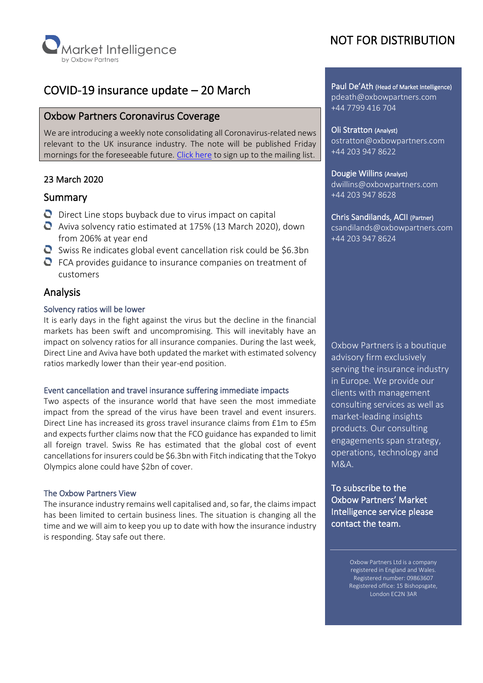

# COVID-19 insurance update – 20 March

# Oxbow Partners Coronavirus Coverage

We are introducing a weekly note consolidating all Coronavirus-related news relevant to the UK insurance industry. The note will be published Friday mornings for the foreseeable future. [Click](https://mailchi.mp/oxbowpartners.com/coronavirusupdates) here to sign up to the mailing list.

# 23 March 2020

# Summary

- $\bullet$  Direct Line stops buyback due to virus impact on capital
- Aviva solvency ratio estimated at 175% (13 March 2020), down from 206% at year end
- $\bullet$  Swiss Re indicates global event cancellation risk could be \$6.3bn
- $\bullet$  FCA provides guidance to insurance companies on treatment of customers

# Analysis

# Solvency ratios will be lower

It is early days in the fight against the virus but the decline in the financial markets has been swift and uncompromising. This will inevitably have an impact on solvency ratios for all insurance companies. During the last week, Direct Line and Aviva have both updated the market with estimated solvency ratios markedly lower than their year-end position.

#### Event cancellation and travel insurance suffering immediate impacts

Two aspects of the insurance world that have seen the most immediate impact from the spread of the virus have been travel and event insurers. Direct Line has increased its gross travel insurance claims from £1m to £5m and expects further claims now that the FCO guidance has expanded to limit all foreign travel. Swiss Re has estimated that the global cost of event cancellations for insurers could be \$6.3bn with Fitch indicating that the Tokyo Olympics alone could have \$2bn of cover.

# The Oxbow Partners View

The insurance industry remains well capitalised and, so far, the claims impact has been limited to certain business lines. The situation is changing all the time and we will aim to keep you up to date with how the insurance industry is responding. Stay safe out there.

# NOT FOR DISTRIBUTION

Paul De'Ath (Head of Market Intelligence) pdeath@oxbowpartners.com +44 7799 416 704

Oli Stratton (Analyst) ostratton@oxbowpartners.com +44 203 947 8622

### Dougie Willins (Analyst)

dwillins@oxbowpartners.com +44 203 947 8628

#### Chris Sandilands, ACII (Partner)

csandilands@oxbowpartners.com +44 203 947 8624

Oxbow Partners is a boutique advisory firm exclusively serving the insurance industry in Europe. We provide our clients with management consulting services as well as market-leading insights products. Our consulting engagements span strategy, operations, technology and M&A.

To subscribe to the Oxbow Partners' Market Intelligence service please contact the team.

> Oxbow Partners Ltd is a company registered in England and Wales. Registered number: 09863607 Registered office: 15 Bishopsgate, London EC2N 3AR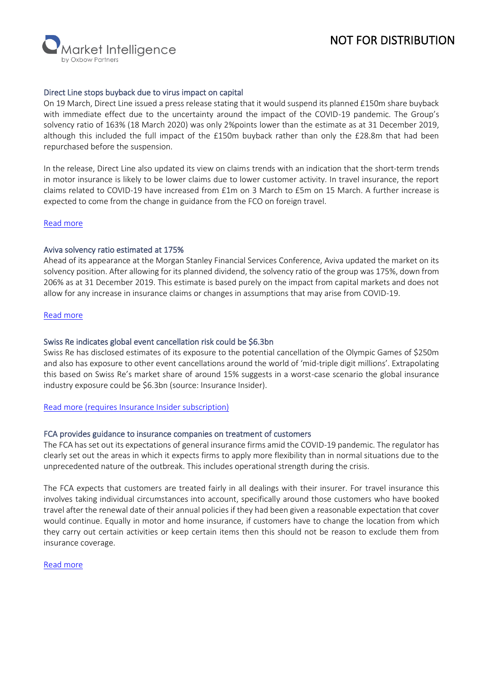# NOT FOR DISTRIBUTION

**larket Intelligence** 

## Direct Line stops buyback due to virus impact on capital

On 19 March, Direct Line issued a press release stating that it would suspend its planned £150m share buyback with immediate effect due to the uncertainty around the impact of the COVID-19 pandemic. The Group's solvency ratio of 163% (18 March 2020) was only 2%points lower than the estimate as at 31 December 2019, although this included the full impact of the £150m buyback rather than only the £28.8m that had been repurchased before the suspension.

In the release, Direct Line also updated its view on claims trends with an indication that the short-term trends in motor insurance is likely to be lower claims due to lower customer activity. In travel insurance, the report claims related to COVID-19 have increased from £1m on 3 March to £5m on 15 March. A further increase is expected to come from the change in guidance from the FCO on foreign travel.

[Read more](http://tools.euroland.com/tools/PressReleases/GetPressRelease/?ID=3716608&lang=en-GB&companycode=services)

# Aviva solvency ratio estimated at 175%

Ahead of its appearance at the Morgan Stanley Financial Services Conference, Aviva updated the market on its solvency position. After allowing for its planned dividend, the solvency ratio of the group was 175%, down from 206% as at 31 December 2019. This estimate is based purely on the impact from capital markets and does not allow for any increase in insurance claims or changes in assumptions that may arise from COVID-19.

## [Read more](https://www.aviva.com/newsroom/news-releases/2020/03/aviva-update-on-solvency-position-ahead-of-investor-conference/)

## Swiss Re indicates global event cancellation risk could be \$6.3bn

Swiss Re has disclosed estimates of its exposure to the potential cancellation of the Olympic Games of \$250m and also has exposure to other event cancellations around the world of 'mid-triple digit millions'. Extrapolating this based on Swiss Re's market share of around 15% suggests in a worst-case scenario the global insurance industry exposure could be \$6.3bn (source: Insurance Insider).

# [Read more \(requires Insurance Insider subscription\)](https://insuranceinsider.com/articles/132191/swiss-re-figures-imply-37bn-63bn-covid-19-cancellation-industry-loss)

# FCA provides guidance to insurance companies on treatment of customers

The FCA has set out its expectations of general insurance firms amid the COVID-19 pandemic. The regulator has clearly set out the areas in which it expects firms to apply more flexibility than in normal situations due to the unprecedented nature of the outbreak. This includes operational strength during the crisis.

The FCA expects that customers are treated fairly in all dealings with their insurer. For travel insurance this involves taking individual circumstances into account, specifically around those customers who have booked travel after the renewal date of their annual policies if they had been given a reasonable expectation that cover would continue. Equally in motor and home insurance, if customers have to change the location from which they carry out certain activities or keep certain items then this should not be reason to exclude them from insurance coverage.

#### [Read more](https://www.fca.org.uk/firms/insurance-and-coronavirus-our-expectations)